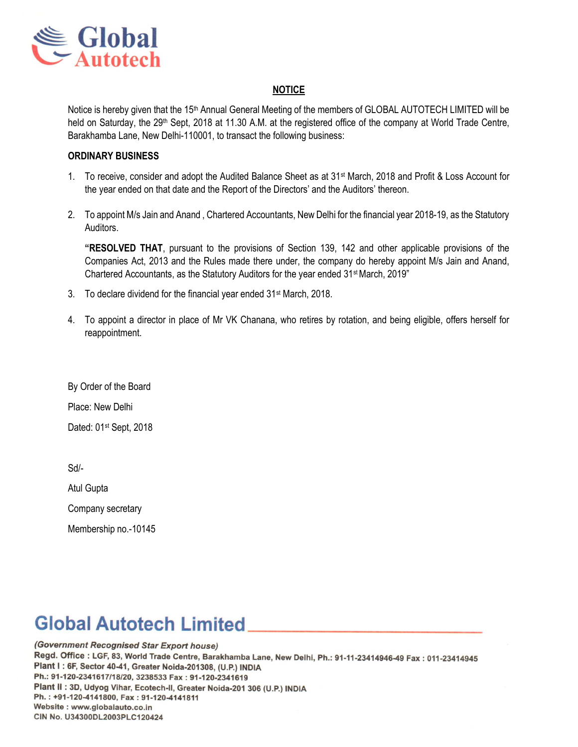

### **NOTICE**

Notice is hereby given that the 15<sup>th</sup> Annual General Meeting of the members of GLOBAL AUTOTECH LIMITED will be held on Saturday, the 29<sup>th</sup> Sept, 2018 at 11.30 A.M. at the registered office of the company at World Trade Centre, Barakhamba Lane, New Delhi-110001, to transact the following business:

#### ORDINARY BUSINESS

- 1. To receive, consider and adopt the Audited Balance Sheet as at 31<sup>st</sup> March, 2018 and Profit & Loss Account for the year ended on that date and the Report of the Directors' and the Auditors' thereon.
- 2. To appoint M/s Jain and Anand , Chartered Accountants, New Delhi for the financial year 2018-19, as the Statutory Auditors.

"RESOLVED THAT, pursuant to the provisions of Section 139, 142 and other applicable provisions of the Companies Act, 2013 and the Rules made there under, the company do hereby appoint M/s Jain and Anand, Chartered Accountants, as the Statutory Auditors for the year ended 31st March, 2019"

- 3. To declare dividend for the financial year ended 31<sup>st</sup> March, 2018.
- 4. To appoint a director in place of Mr VK Chanana, who retires by rotation, and being eligible, offers herself for reappointment.

By Order of the Board Place: New Delhi Dated: 01<sup>st</sup> Sept, 2018

Sd/-

Atul Gupta

Company secretary

Membership no.-10145

# **Global Autotech Limited**

(Government Recognised Star Export house) Regd. Office: LGF, 83, World Trade Centre, Barakhamba Lane, New Delhi, Ph.: 91-11-23414946-49 Fax: 011-23414945 Plant I : 6F, Sector 40-41, Greater Noida-201308, (U.P.) INDIA Ph.: 91-120-2341617/18/20, 3238533 Fax: 91-120-2341619 Plant II : 3D, Udyog Vihar, Ecotech-II, Greater Noida-201 306 (U.P.) INDIA Ph.: +91-120-4141800, Fax: 91-120-4141811 Website: www.globalauto.co.in CIN No. U34300DL2003PLC120424